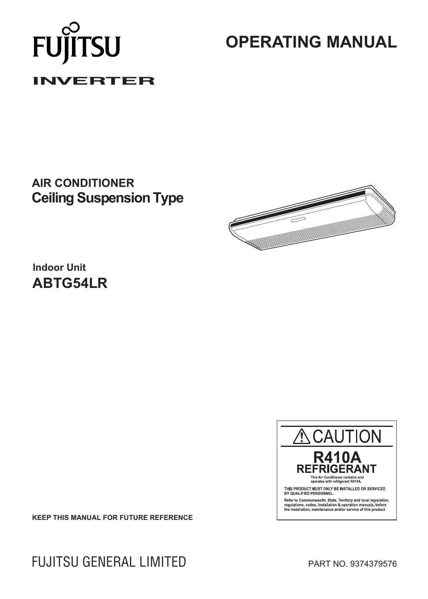# FUJÍ UTSU **INVERTER**

# **OPERATING MANUAL**

# **AIR CONDITIONER Ceiling Suspension Type**



**Indoor Unit ABTG54LR**



**KEEP THIS MANUAL FOR FUTURE REFERENCE**

FUJITSU GENERAL LIMITED PART NO. 9374379576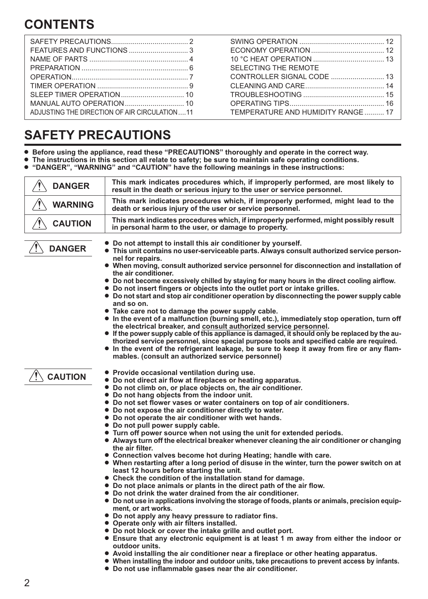# **CONTENTS**

|                                              | SELECTING THE REMOTE              |
|----------------------------------------------|-----------------------------------|
|                                              |                                   |
|                                              |                                   |
|                                              |                                   |
|                                              |                                   |
| ADJUSTING THE DIRECTION OF AIR CIRCULATION11 | TEMPERATURE AND HUMIDITY RANGE 17 |

# **SAFETY PRECAUTIONS**

- **Before using the appliance, read these "PRECAUTIONS" thoroughly and operate in the correct way.**
- M **The instructions in this section all relate to safety; be sure to maintain safe operating conditions.**
- **. "DANGER", "WARNING" and "CAUTION" have the following meanings in these instructions:**

| <b>DANGER</b>  | This mark indicates procedures which, if improperly performed, are most likely to<br>result in the death or serious injury to the user or service personnel.                   |
|----------------|--------------------------------------------------------------------------------------------------------------------------------------------------------------------------------|
| <b>WARNING</b> | This mark indicates procedures which, if improperly performed, might lead to the<br>death or serious injury of the user or service personnel.                                  |
| <b>CAUTION</b> | This mark indicates procedures which, if improperly performed, might possibly result<br>in personal harm to the user, or damage to property.                                   |
| <b>DANGER</b>  | • Do not attempt to install this air conditioner by yourself.<br>• This unit contains no user-serviceable parts. Always consult authorized service person-<br>nel for repairs. |
|                | . When moving, consult authorized service personnel for disconnection and installation of<br>the air conditioner.                                                              |
|                | • Do not become excessively chilled by staying for many hours in the direct cooling airflow.<br>• Do not insert fingers or objects into the outlet port or intake grilles.     |
|                | • Do not start and stop air conditioner operation by disconnecting the power supply cable<br>and so on.                                                                        |
|                | • Take care not to damage the power supply cable.                                                                                                                              |
|                | • In the event of a malfunction (burning smell, etc.), immediately stop operation, turn off<br>the electrical breaker, and consult authorized service personnel.               |
|                | • If the nower supply cable of this appliance is damaged it should only be replaced by the au-                                                                                 |

- **•** If the power supply cable of this appliance is damaged, it should only be replaced by the au**thorized service personnel, since special purpose tools and specified cable are required.**
- In the event of the refrigerant leakage, be sure to keep it away from fire or any flam**mables. (consult an authorized service personnel)**

**CAUTION**

- Provide occasional ventilation during use.<br>● Do not direct air flow at fireplaces or beativ
- Do not direct air flow at fireplaces or heating apparatus.
- Do not climb on, or place objects on, the air conditioner.
- $\bullet$  Do not hang objects from the indoor unit.
- $\bullet$  Do not set flower vases or water containers on top of air conditioners.
- $\bullet$  Do not expose the air conditioner directly to water.
- $\bullet$  Do not operate the air conditioner with wet hands.
- $\bullet$  Do not pull power supply cable.
- **Turn off power source when not using the unit for extended periods.**
- **Always turn off the electrical breaker whenever cleaning the air conditioner or changing the air filter.**
- **Connection valves become hot during Heating; handle with care.**
- When restarting after a long period of disuse in the winter, turn the power switch on at **least 12 hours before starting the unit.**
- $\bullet$  Check the condition of the installation stand for damage.
- $\bullet$  Do not place animals or plants in the direct path of the air flow.
- $\bullet$  Do not drink the water drained from the air conditioner.
- $\bullet$  Do not use in applications involving the storage of foods, plants or animals, precision equip**ment, or art works.**
- $\bullet$  Do not apply any heavy pressure to radiator fins.
- **Operate only with air filters installed.**
- $\bullet$  Do not block or cover the intake grille and outlet port.
	- **Ensure that any electronic equipment is at least 1 m away from either the indoor or outdoor units.**
- $\bullet$  Avoid installing the air conditioner near a fireplace or other heating apparatus.
- **. When installing the indoor and outdoor units, take precautions to prevent access by infants.** 
	- $\bullet$  Do not use inflammable gases near the air conditioner.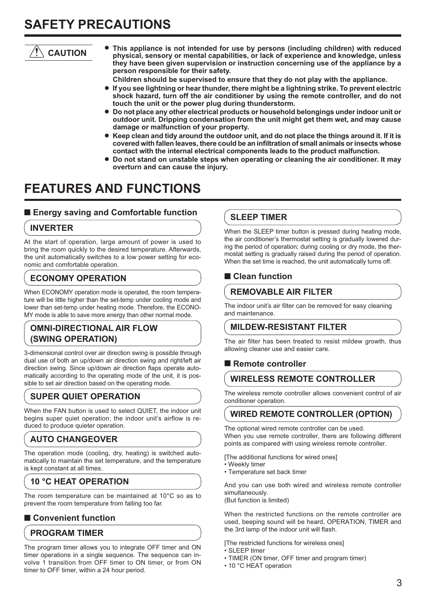# **SAFETY PRECAUTIONS**

# **CAUTION**

M **This appliance is not intended for use by persons (including children) with reduced physical, sensory or mental capabilities, or lack of experience and knowledge, unless they have been given supervision or instruction concerning use of the appliance by a person responsible for their safety.** 

 **Children should be supervised to ensure that they do not play with the appliance.**

- If you see lightning or hear thunder, there might be a lightning strike. To prevent electric **shock hazard, turn off the air conditioner by using the remote controller, and do not touch the unit or the power plug during thunderstorm.**
- Do not place any other electrical products or household belongings under indoor unit or **outdoor unit. Dripping condensation from the unit might get them wet, and may cause damage or malfunction of your property.**
- Keep clean and tidy around the outdoor unit, and do not place the things around it. If it is **covered with fallen leaves, there could be an infiltration of small animals or insects whose contact with the internal electrical components leads to the product malfunction.**
- **Do not stand on unstable steps when operating or cleaning the air conditioner. It may overturn and can cause the injury.**

# **FEATURES AND FUNCTIONS**

## ■ Energy saving and Comfortable function

## **INVERTER**

At the start of operation, large amount of power is used to bring the room quickly to the desired temperature. Afterwards, the unit automatically switches to a low power setting for economic and comfortable operation.

## **ECONOMY OPERATION**

When ECONOMY operation mode is operated, the room temperature will be little higher than the set-temp under cooling mode and lower than set-temp under heating mode. Therefore, the ECONO-MY mode is able to save more energy than other normal mode.

## **OMNI-DIRECTIONAL AIR FLOW (SWING OPERATION)**

3-dimensional control over air direction swing is possible through dual use of both an up/down air direction swing and right/left air direction swing. Since up/down air direction flaps operate automatically according to the operating mode of the unit, it is possible to set air direction based on the operating mode.

# **SUPER QUIET OPERATION**

When the FAN button is used to select QUIET, the indoor unit begins super quiet operation; the indoor unit's airflow is reduced to produce quieter operation.

# **AUTO CHANGEOVER**

The operation mode (cooling, dry, heating) is switched automatically to maintain the set temperature, and the temperature is kept constant at all times.

# **10 °C HEAT OPERATION**

The room temperature can be maintained at 10°C so as to prevent the room temperature from falling too far.

## ■ Convenient function

## **PROGRAM TIMER**

The program timer allows you to integrate OFF timer and ON timer operations in a single sequence. The sequence can involve 1 transition from OFF timer to ON timer, or from ON timer to OFF timer, within a 24 hour period.

# **SLEEP TIMER**

When the SLEEP timer button is pressed during heating mode, the air conditioner's thermostat setting is gradually lowered during the period of operation; during cooling or dry mode, the thermostat setting is gradually raised during the period of operation. When the set time is reached, the unit automatically turns off.

## ■ Clean function

## **REMOVABLE AIR FILTER**

The indoor unit's air filter can be removed for easy cleaning and maintenance.

## **MILDEW-RESISTANT FILTER**

The air filter has been treated to resist mildew growth, thus allowing cleaner use and easier care.

## ■ Remote controller

## **WIRELESS REMOTE CONTROLLER**

The wireless remote controller allows convenient control of air conditioner operation.

## **WIRED REMOTE CONTROLLER (OPTION)**

The optional wired remote controller can be used. When you use remote controller, there are following different points as compared with using wireless remote controller.

[The additional functions for wired ones]

- Weekly timer
- Temperature set back timer

And you can use both wired and wireless remote controller simultaneously.

(But function is limited)

When the restricted functions on the remote controller are used, beeping sound will be heard, OPERATION, TIMER and the 3rd lamp of the indoor unit will flash.

[The restricted functions for wireless ones]

- SLEEP timer
- TIMER (ON timer, OFF timer and program timer)
- 10 °C HEAT operation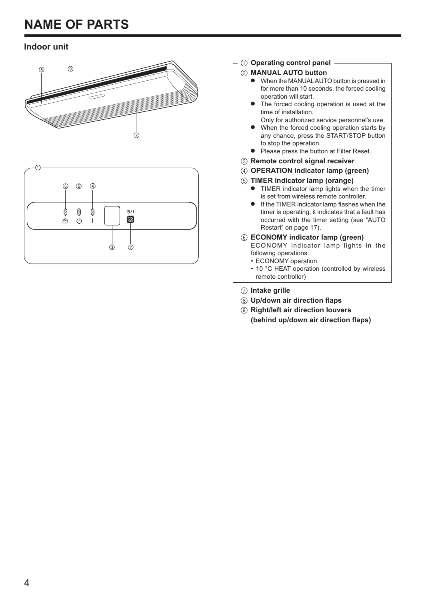# **NAME OF PARTS**

# **Indoor unit**



### 1 **Operating control panel**

### 2 **MANUAL AUTO button**

- $\bullet$  When the MANUAL AUTO button is pressed in for more than 10 seconds, the forced cooling operation will start.
- The forced cooling operation is used at the time of installation.
- Only for authorized service personnel's use. When the forced cooling operation starts by any chance, press the START/STOP button
- to stop the operation. **•** Please press the button at Filter Reset.
- 3 **Remote control signal receiver**
- 4 **OPERATION indicator lamp (green)**
- 5 **TIMER indicator lamp (orange)**
	- TIMER indicator lamp lights when the timer is set from wireless remote controller.
	- If the TIMER indicator lamp flashes when the timer is operating, it indicates that a fault has occurred with the timer setting (see "AUTO Restart" on page 17).
- 6 **ECONOMY indicator lamp (green)**
	- ECONOMY indicator lamp lights in the following operations:
		- ECONOMY operation
		- 10 °C HEAT operation (controlled by wireless remote controller)
- 7 **Intake grille**
- 8 **Up/down air direction flaps**
- 9 **Right/left air direction louvers (behind up/down air direction flaps)**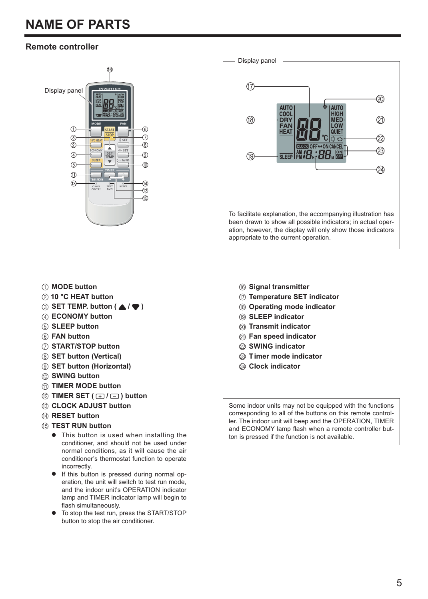# **NAME OF PARTS**

# **Remote controller**



### 1 **MODE button**

- 2 **10 °C HEAT button**
- **3** SET TEMP. button (  $\triangle$  /  $\blacktriangledown$  )
- 4 **ECONOMY button**
- 5 **SLEEP button**
- 6 **FAN button**
- 7 **START/STOP button**
- 8 **SET button (Vertical)**
- 9 **SET button (Horizontal)**
- 0 **SWING button**
- A **TIMER MODE button**
- $\textcircled{2}$  **TIMER SET (**  $\textcircled{1}$  **/**  $\textcircled{1}$ **) button**
- C **CLOCK ADJUST button**
- **(4) RESET button**
- E **TEST RUN button**
	- $\bullet$  This button is used when installing the conditioner, and should not be used under normal conditions, as it will cause the air conditioner's thermostat function to operate incorrectly.
	- $\bullet$  If this button is pressed during normal operation, the unit will switch to test run mode, and the indoor unit's OPERATION indicator lamp and TIMER indicator lamp will begin to flash simultaneously.
	- $\triangleright$  To stop the test run, press the START/STOP button to stop the air conditioner.
- $(17)$ 20 **ALITO UTC** COOL **HIGH** (18) **DRY** MED ମ LOW QUIET බ  $\lambda$ CLOCK OFF⇔ON CANCEL 23 | <u>AM *19* : 22. SS</u> (19) **SLEEP** ⊘a To facilitate explanation, the accompanying illustration has been drawn to show all possible indicators; in actual operation, however, the display will only show those indicators appropriate to the current operation.
	- F **Signal transmitter**

Display panel

- G **Temperature SET indicator**
- **(8) Operating mode indicator**
- I **SLEEP indicator**
- J **Transmit indicator**
- K **Fan speed indicator**
- L **SWING indicator**
- M **Timer mode indicator**
- N **Clock indicator**

Some indoor units may not be equipped with the functions corresponding to all of the buttons on this remote controller. The indoor unit will beep and the OPERATION, TIMER and ECONOMY lamp flash when a remote controller button is pressed if the function is not available.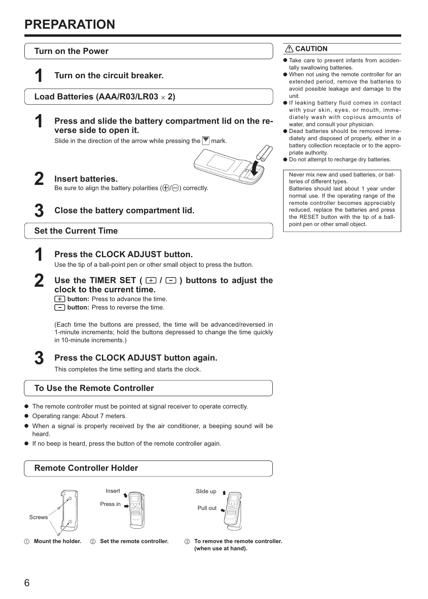# **PREPARATION**



## **3 Press the CLOCK ADJUST button again.**

This completes the time setting and starts the clock.

## **To Use the Remote Controller**

- $\bullet$  The remote controller must be pointed at signal receiver to operate correctly.
- Operating range: About 7 meters.
- When a signal is properly received by the air conditioner, a beeping sound will be heard.
- $\bullet$  If no beep is heard, press the button of the remote controller again.



#### 1 **Mount the holder.** 2 **Set the remote controller.**

- 
- 3 **To remove the remote controller. (when use at hand).**

# **CAUTION**

- Take care to prevent infants from accidentally swallowing batteries.
- M When not using the remote controller for an extended period, remove the batteries to avoid possible leakage and damage to the
- $\bullet$  If leaking battery fluid comes in contact with your skin, eyes, or mouth, immediately wash with copious amounts of water, and consult your physician.
- $\bullet$  Dead batteries should be removed immediately and disposed of properly, either in a battery collection receptacle or to the appropriate authority.
- $\bullet$  Do not attempt to recharge dry batteries.

Never mix new and used batteries, or batteries of different types. Batteries should last about 1 year under normal use. If the operating range of the

remote controller becomes appreciably reduced, replace the batteries and press the RESET button with the tip of a ballpoint pen or other small object.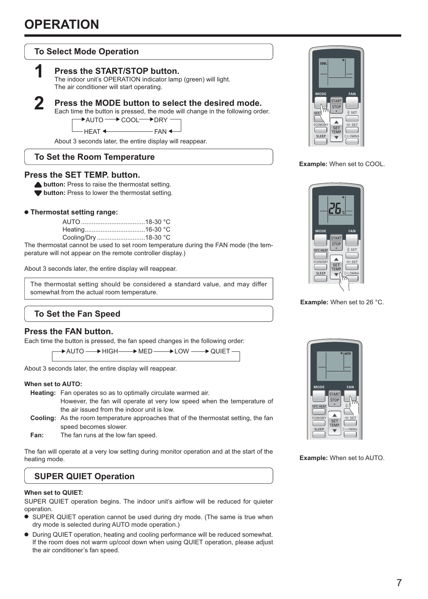# **To Select Mode Operation**

### **1 Press the START/STOP button.**

 The indoor unit's OPERATION indicator lamp (green) will light. The air conditioner will start operating.



## **2 Press the MODE button to select the desired mode.**

Each time the button is pressed, the mode will change in the following order.

→ AUTO → COOL → DRY

HEAT <
FAN  $\blacklozenge$ 

About 3 seconds later, the entire display will reappear.

## **To Set the Room Temperature**

### **Press the SET TEMP. button.**

**button:** Press to raise the thermostat setting.

 $\blacktriangledown$  **button:** Press to lower the thermostat setting.

### $\bullet$  **Thermostat setting range:**

The thermostat cannot be used to set room temperature during the FAN mode (the temperature will not appear on the remote controller display.)

About 3 seconds later, the entire display will reappear.

The thermostat setting should be considered a standard value, and may differ somewhat from the actual room temperature.

# **To Set the Fan Speed**

### **Press the FAN button.**

Each time the button is pressed, the fan speed changes in the following order:

├─▶ AUTO ── ▶ HIGH── ▶ MED ── ▶ LOW ── ▶ QUIET  $\rightarrow$  QUIET

About 3 seconds later, the entire display will reappear.

#### **When set to AUTO:**

 **Heating:** Fan operates so as to optimally circulate warmed air.

 However, the fan will operate at very low speed when the temperature of the air issued from the indoor unit is low.

 **Cooling:** As the room temperature approaches that of the thermostat setting, the fan speed becomes slower.

 **Fan:** The fan runs at the low fan speed.

The fan will operate at a very low setting during monitor operation and at the start of the heating mode.

# **SUPER QUIET Operation**

#### **When set to QUIET:**

SUPER QUIET operation begins. The indoor unit's airflow will be reduced for quieter operation.

- $\bullet$  SUPER QUIET operation cannot be used during dry mode. (The same is true when dry mode is selected during AUTO mode operation.)
- $\bullet$  During QUIET operation, heating and cooling performance will be reduced somewhat. If the room does not warm up/cool down when using QUIET operation, please adjust the air conditioner's fan speed.



**Example:** When set to COOL.



**Example:** When set to 26 °C.



**Example:** When set to AUTO.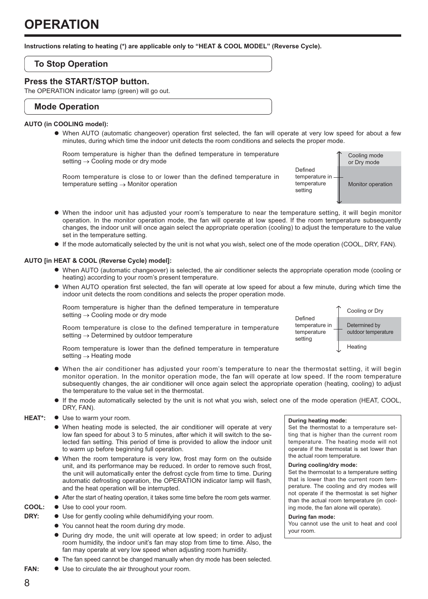**Instructions relating to heating (\*) are applicable only to "HEAT & COOL MODEL" (Reverse Cycle).** 

## **To Stop Operation**

### **Press the START/STOP button.**

The OPERATION indicator lamp (green) will go out.

### **Mode Operation**

#### **AUTO (in COOLING model):**

M When AUTO (automatic changeover) operation first selected, the fan will operate at very low speed for about a few minutes, during which time the indoor unit detects the room conditions and selects the proper mode.

 Room temperature is higher than the defined temperature in temperature setting  $\rightarrow$  Cooling mode or dry mode

 Room temperature is close to or lower than the defined temperature in temperature setting → Monitor operation



- M When the indoor unit has adjusted your room's temperature to near the temperature setting, it will begin monitor operation. In the monitor operation mode, the fan will operate at low speed. If the room temperature subsequently changes, the indoor unit will once again select the appropriate operation (cooling) to adjust the temperature to the value set in the temperature setting.
- M If the mode automatically selected by the unit is not what you wish, select one of the mode operation (COOL, DRY, FAN).

#### **AUTO [in HEAT & COOL (Reverse Cycle) model]:**

- M When AUTO (automatic changeover) is selected, the air conditioner selects the appropriate operation mode (cooling or heating) according to your room's present temperature.
- M When AUTO operation first selected, the fan will operate at low speed for about a few minute, during which time the indoor unit detects the room conditions and selects the proper operation mode.

 Room temperature is higher than the defined temperature in temperature setting  $\rightarrow$  Cooling mode or dry mode

Room temperature is close to the defined temperature in temperature setting → Determined by outdoor temperature

 Room temperature is lower than the defined temperature in temperature setting  $\rightarrow$  Heating mode

- M When the air conditioner has adjusted your room's temperature to near the thermostat setting, it will begin monitor operation. In the monitor operation mode, the fan will operate at low speed. If the room temperature subsequently changes, the air conditioner will once again select the appropriate operation (heating, cooling) to adjust the temperature to the value set in the thermostat.
- M If the mode automatically selected by the unit is not what you wish, select one of the mode operation (HEAT, COOL, DRY, FAN).

#### HEAT\*:  $\bullet$  Use to warm your room.

- When heating mode is selected, the air conditioner will operate at very low fan speed for about 3 to 5 minutes, after which it will switch to the selected fan setting. This period of time is provided to allow the indoor unit to warm up before beginning full operation.
- $\bullet$  When the room temperature is very low, frost may form on the outside unit, and its performance may be reduced. In order to remove such frost, the unit will automatically enter the defrost cycle from time to time. During automatic defrosting operation, the OPERATION indicator lamp will flash, and the heat operation will be interrupted.
- $\bullet$  After the start of heating operation, it takes some time before the room gets warmer.
- **COOL:**  $\bullet$  Use to cool your room.
- **DRY:**  $\bullet$  Use for gently cooling while dehumidifying your room.
	- $\bullet$  You cannot heat the room during dry mode.
	- During dry mode, the unit will operate at low speed; in order to adjust room humidity, the indoor unit's fan may stop from time to time. Also, the fan may operate at very low speed when adjusting room humidity.
	- $\bullet$  The fan speed cannot be changed manually when dry mode has been selected.
- **FAN:**  $\bullet$  Use to circulate the air throughout your room.



#### **During heating mode:**

Set the thermostat to a temperature setting that is higher than the current room temperature. The heating mode will not operate if the thermostat is set lower than the actual room temperature.

#### **During cooling/dry mode:**

Set the thermostat to a temperature setting that is lower than the current room temperature. The cooling and dry modes will not operate if the thermostat is set higher than the actual room temperature (in cooling mode, the fan alone will operate).

#### **During fan mode:**

You cannot use the unit to heat and cool your room.

8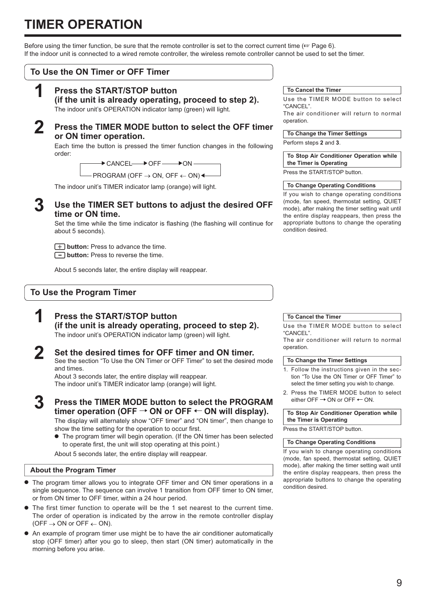# **TIMER OPERATION**

Before using the timer function, be sure that the remote controller is set to the correct current time ( $\sqrt{8}$  Page 6). If the indoor unit is connected to a wired remote controller, the wireless remote controller cannot be used to set the timer.

### **To Use the ON Timer or OFF Timer**

# **1 Press the START/STOP button**

 **(if the unit is already operating, proceed to step 2).**

The indoor unit's OPERATION indicator lamp (green) will light.

## **2 Press the TIMER MODE button to select the OFF timer or ON timer operation.**

 Each time the button is pressed the timer function changes in the following order:

—— → CANCEL—— → OFF —— → ON

 $\longleftarrow$  PROGRAM (OFF  $\rightarrow$  ON, OFF  $\leftarrow$  ON)

The indoor unit's TIMER indicator lamp (orange) will light.

### **3 Use the TIMER SET buttons to adjust the desired OFF time or ON time.**

 Set the time while the time indicator is flashing (the flashing will continue for about 5 seconds).

**F** button: Press to advance the time.  $\Box$  button: Press to reverse the time.

About 5 seconds later, the entire display will reappear.

## **To Use the Program Timer**

# **1 Press the START/STOP button**

 **(if the unit is already operating, proceed to step 2).** The indoor unit's OPERATION indicator lamp (green) will light.

**2 Set the desired times for OFF timer and ON timer.** See the section "To Use the ON Timer or OFF Timer" to set the desired mode and times.

 About 3 seconds later, the entire display will reappear. The indoor unit's TIMER indicator lamp (orange) will light.

**3 Press the TIMER MODE button to select the PROGRAM**  timer operation (OFF  $\rightarrow$  ON or OFF  $\leftarrow$  ON will display).

 The display will alternately show "OFF timer" and "ON timer", then change to show the time setting for the operation to occur first.

 $\bullet$  The program timer will begin operation. (If the ON timer has been selected to operate first, the unit will stop operating at this point.)

About 5 seconds later, the entire display will reappear.

## **About the Program Timer**

- $\bullet$  The program timer allows you to integrate OFF timer and ON timer operations in a single sequence. The sequence can involve 1 transition from OFF timer to ON timer, or from ON timer to OFF timer, within a 24 hour period.
- $\bullet$  The first timer function to operate will be the 1 set nearest to the current time. The order of operation is indicated by the arrow in the remote controller display  $(OFF \rightarrow ON$  or  $OFF \leftarrow ON$ .
- $\bullet$  An example of program timer use might be to have the air conditioner automatically stop (OFF timer) after you go to sleep, then start (ON timer) automatically in the morning before you arise.

#### **To Cancel the Timer**

Use the TIMER MODE button to select "CANCEL".

The air conditioner will return to normal operation.

#### **To Change the Timer Settings**

Perform steps **2** and **3**.

**To Stop Air Conditioner Operation while the Timer is Operating**

Press the START/STOP button.

#### **To Change Operating Conditions**

If you wish to change operating conditions (mode, fan speed, thermostat setting, QUIET mode), after making the timer setting wait until the entire display reappears, then press the appropriate buttons to change the operating condition desired.

#### **To Cancel the Timer**

Use the TIMER MODE button to select "CANCEL".

The air conditioner will return to normal operation.

#### **To Change the Timer Settings**

- 1. Follow the instructions given in the section "To Use the ON Timer or OFF Timer" to select the timer setting you wish to change.
- 2. Press the TIMER MODE button to select either OFF  $\rightarrow$  ON or OFF  $\leftarrow$  ON.

**To Stop Air Conditioner Operation while the Timer is Operating**

Press the START/STOP button.

#### **To Change Operating Conditions**

If you wish to change operating conditions (mode, fan speed, thermostat setting, QUIET mode), after making the timer setting wait until the entire display reappears, then press the appropriate buttons to change the operating condition desired.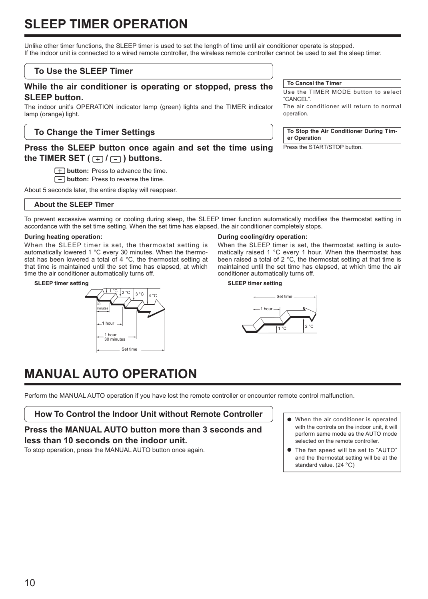# **SLEEP TIMER OPERATION**

Unlike other timer functions, the SLEEP timer is used to set the length of time until air conditioner operate is stopped. If the indoor unit is connected to a wired remote controller, the wireless remote controller cannot be used to set the sleep timer.

## **To Use the SLEEP Timer**

### **While the air conditioner is operating or stopped, press the SLEEP button.**

The indoor unit's OPERATION indicator lamp (green) lights and the TIMER indicator lamp (orange) light.

## **To Change the Timer Settings**

## **Press the SLEEP button once again and set the time using the TIMER SET (** $\boxed{+}$ **/** $\boxed{-}$ **)** buttons.

**Tbutton:** Press to advance the time.

 $\boxed{-}$  **button:** Press to reverse the time.

About 5 seconds later, the entire display will reappear.

### **About the SLEEP Timer**

To prevent excessive warming or cooling during sleep, the SLEEP timer function automatically modifies the thermostat setting in accordance with the set time setting. When the set time has elapsed, the air conditioner completely stops.

#### **During heating operation:**

When the SLEEP timer is set, the thermostat setting is automatically lowered 1 °C every 30 minutes. When the thermostat has been lowered a total of 4 °C, the thermostat setting at that time is maintained until the set time has elapsed, at which time the air conditioner automatically turns off.

**SLEEP timer setting**



#### **During cooling/dry operation:**

When the SLEEP timer is set, the thermostat setting is automatically raised 1 °C every 1 hour. When the thermostat has been raised a total of 2 °C, the thermostat setting at that time is maintained until the set time has elapsed, at which time the air conditioner automatically turns off.

#### **SLEEP timer setting**



# **MANUAL AUTO OPERATION**

Perform the MANUAL AUTO operation if you have lost the remote controller or encounter remote control malfunction.

**How To Control the Indoor Unit without Remote Controller**

**Press the MANUAL AUTO button more than 3 seconds and less than 10 seconds on the indoor unit.**

To stop operation, press the MANUAL AUTO button once again.

- $\bullet$  When the air conditioner is operated with the controls on the indoor unit, it will perform same mode as the AUTO mode selected on the remote controller.
- $\bullet$  The fan speed will be set to "AUTO" and the thermostat setting will be at the standard value. (24 °C)

**To Cancel the Timer**

Use the TIMER MODE button to select "CANCEL".

The air conditioner will return to normal operation.

**To Stop the Air Conditioner During Timer Operation**

Press the START/STOP button.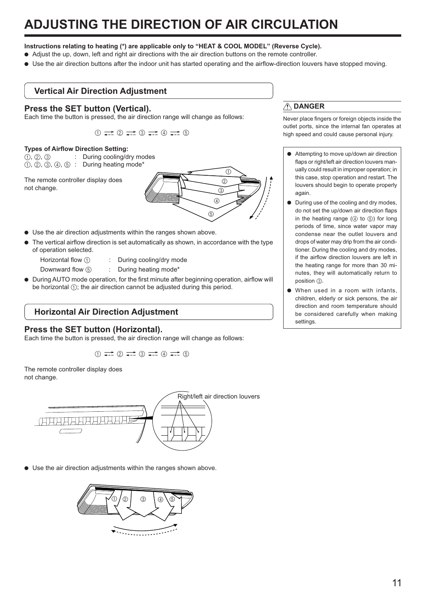# **ADJUSTING THE DIRECTION OF AIR CIRCULATION**

- **Instructions relating to heating (\*) are applicable only to "HEAT & COOL MODEL" (Reverse Cycle).**
- M Adjust the up, down, left and right air directions with the air direction buttons on the remote controller.
- Use the air direction buttons after the indoor unit has started operating and the airflow-direction louvers have stopped moving.

## **Vertical Air Direction Adjustment**

### **Press the SET button (Vertical).**

Each time the button is pressed, the air direction range will change as follows:

 $(1)$   $\longrightarrow$   $(2)$   $\longrightarrow$   $(3)$   $\longrightarrow$   $(4)$   $\longrightarrow$   $(5)$ 

#### **Types of Airflow Direction Setting:**

 $(1), (2), (3)$  : During cooling/dry modes  $(1)$ ,  $(2)$ ,  $(3)$ ,  $(4)$ ,  $(5)$ : During heating mode\*

The remote controller display does not change.



- $\bullet$  Use the air direction adjustments within the ranges shown above.
- The vertical airflow direction is set automatically as shown, in accordance with the type of operation selected.
	-
	- Horizontal flow  $\bigcap$  : During cooling/drv mode
	-
	- Downward flow (5) : During heating mode\*
- $\bullet$  During AUTO mode operation, for the first minute after beginning operation, airflow will be horizontal  $(1)$ ; the air direction cannot be adjusted during this period.

## **Horizontal Air Direction Adjustment**

### **Press the SET button (Horizontal).**

Each time the button is pressed, the air direction range will change as follows:

 $(1)$   $\rightleftharpoons$   $(2)$   $\rightleftharpoons$   $(3)$   $\rightleftharpoons$   $(4)$   $\rightleftharpoons$   $(5)$ 

The remote controller display does not change.



 $\bullet$  Use the air direction adjustments within the ranges shown above.



## **DANGER**

Never place fingers or foreign objects inside the outlet ports, since the internal fan operates at high speed and could cause personal injury.

- $\bullet$  Attempting to move up/down air direction flaps or right/left air direction louvers manually could result in improper operation; in this case, stop operation and restart. The louvers should begin to operate properly again
- $\bullet$  During use of the cooling and dry modes, do not set the up/down air direction flaps in the heating range  $(4)$  to  $(5)$  for long periods of time, since water vapor may condense near the outlet louvers and drops of water may drip from the air conditioner. During the cooling and dry modes, if the airflow direction louvers are left in the heating range for more than 30 minutes, they will automatically return to position (3).
- $\bullet$  When used in a room with infants, children, elderly or sick persons, the air direction and room temperature should be considered carefully when making settings.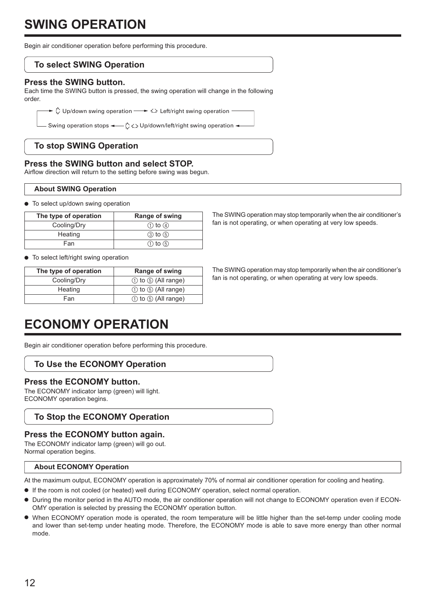# **SWING OPERATION**

Begin air conditioner operation before performing this procedure.

# **To select SWING Operation**

## **Press the SWING button.**

Each time the SWING button is pressed, the swing operation will change in the following order.

 $\blacktriangleright$   $\Diamond$  Up/down swing operation  $\longrightarrow \Diamond$  Left/right swing operation

Swing operation stops  $\leftarrow \bigcirc \Leftrightarrow$  Up/down/left/right swing operation  $\rightarrow$ 

# **To stop SWING Operation**

## **Press the SWING button and select STOP.**

Airflow direction will return to the setting before swing was begun.

## **About SWING Operation**

 $\bullet$  To select up/down swing operation

| The type of operation | Range of swing |
|-----------------------|----------------|
| Cooling/Dry           | $(1)$ to $(4)$ |
| Heating               | $(3)$ to $(5)$ |
| Fan                   | $(1)$ to $(5)$ |

 $\bullet$  To select left/right swing operation

| The type of operation | Range of swing             |
|-----------------------|----------------------------|
| Cooling/Dry           | $(1)$ to $(5)$ (All range) |
| Heating               | $(1)$ to $(5)$ (All range) |
| Fan                   | $(1)$ to $(5)$ (All range) |

The SWING operation may stop temporarily when the air conditioner's fan is not operating, or when operating at very low speeds.

The SWING operation may stop temporarily when the air conditioner's fan is not operating, or when operating at very low speeds.

# **ECONOMY OPERATION**

Begin air conditioner operation before performing this procedure.

# **To Use the ECONOMY Operation**

## **Press the ECONOMY button.**

The ECONOMY indicator lamp (green) will light. ECONOMY operation begins.

# **To Stop the ECONOMY Operation**

## **Press the ECONOMY button again.**

The ECONOMY indicator lamp (green) will go out. Normal operation begins.

## **About ECONOMY Operation**

At the maximum output, ECONOMY operation is approximately 70% of normal air conditioner operation for cooling and heating.

- $\bullet$  If the room is not cooled (or heated) well during ECONOMY operation, select normal operation.
- M During the monitor period in the AUTO mode, the air conditioner operation will not change to ECONOMY operation even if ECON-OMY operation is selected by pressing the ECONOMY operation button.
- M When ECONOMY operation mode is operated, the room temperature will be little higher than the set-temp under cooling mode and lower than set-temp under heating mode. Therefore, the ECONOMY mode is able to save more energy than other normal mode.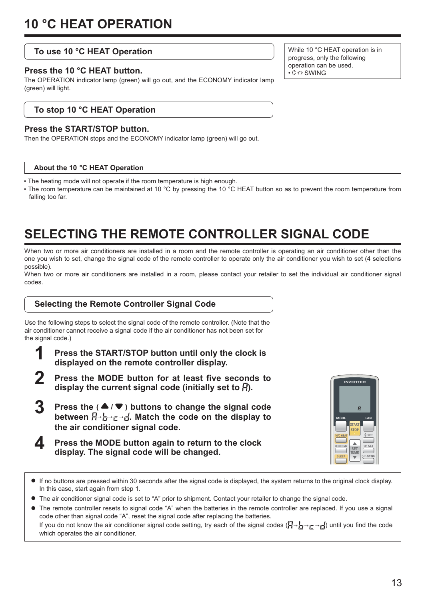## **To use 10 °C HEAT Operation**

### **Press the 10 °C HEAT button.**

The OPERATION indicator lamp (green) will go out, and the ECONOMY indicator lamp (green) will light.

## **To stop 10 °C HEAT Operation**

### **Press the START/STOP button.**

Then the OPERATION stops and the ECONOMY indicator lamp (green) will go out.

#### **About the 10 °C HEAT Operation**

• The heating mode will not operate if the room temperature is high enough.

• The room temperature can be maintained at 10 °C by pressing the 10 °C HEAT button so as to prevent the room temperature from falling too far.

# **SELECTING THE REMOTE CONTROLLER SIGNAL CODE**

When two or more air conditioners are installed in a room and the remote controller is operating an air conditioner other than the one you wish to set, change the signal code of the remote controller to operate only the air conditioner you wish to set (4 selections possible).

When two or more air conditioners are installed in a room, please contact your retailer to set the individual air conditioner signal codes.

## **Selecting the Remote Controller Signal Code**

Use the following steps to select the signal code of the remote controller. (Note that the air conditioner cannot receive a signal code if the air conditioner has not been set for the signal code.)

- **1 Press the START/STOP button until only the clock is displayed on the remote controller display.**
- **2 Press the MODE button for at least five seconds to**  display the current signal code (initially set to  $\vec{H}$ ).
- **Press the (** $\triangle$ **/** $\nabla$ **)** buttons to change the signal code between  $\vec{H} \rightarrow \vec{H} \rightarrow \vec{H}$ . Match the code on the display to **the air conditioner signal code.**
- **4** Press the MODE button again to return to the clock **display. The signal code will be changed.**



- M If no buttons are pressed within 30 seconds after the signal code is displayed, the system returns to the original clock display. In this case, start again from step 1.
- M The air conditioner signal code is set to "A" prior to shipment. Contact your retailer to change the signal code.
- M The remote controller resets to signal code "A" when the batteries in the remote controller are replaced. If you use a signal code other than signal code "A", reset the signal code after replacing the batteries. If you do not know the air conditioner signal code setting, try each of the signal codes ( $\Box \rightarrow \rightarrow \Box$ ) until you find the code which operates the air conditioner.

While 10 °C HEAT operation is in progress, only the following operation can be used.  $\cdot$  C SWING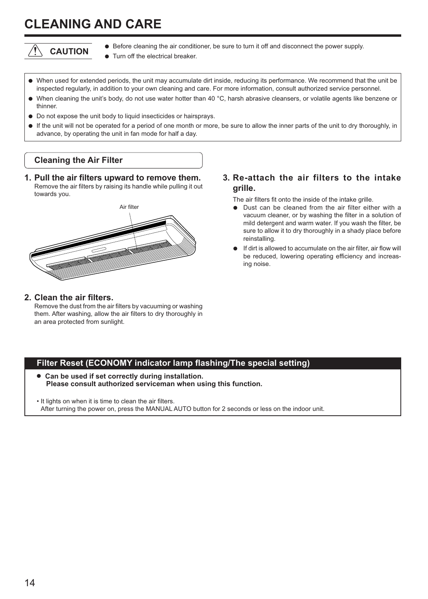# **CLEANING AND CARE**



- $\bullet$  Before cleaning the air conditioner, be sure to turn it off and disconnect the power supply.
	- Turn off the electrical breaker.
- M When used for extended periods, the unit may accumulate dirt inside, reducing its performance. We recommend that the unit be inspected regularly, in addition to your own cleaning and care. For more information, consult authorized service personnel.
- M When cleaning the unit's body, do not use water hotter than 40 °C, harsh abrasive cleansers, or volatile agents like benzene or thinner.
- $\bullet$  Do not expose the unit body to liquid insecticides or hairsprays.
- M If the unit will not be operated for a period of one month or more, be sure to allow the inner parts of the unit to dry thoroughly, in advance, by operating the unit in fan mode for half a day.

## **Cleaning the Air Filter**

**1. Pull the air filters upward to remove them.** Remove the air filters by raising its handle while pulling it out towards you.



### **2. Clean the air filters.**

 Remove the dust from the air filters by vacuuming or washing them. After washing, allow the air filters to dry thoroughly in an area protected from sunlight.

**3. Re-attach the air filters to the intake grille.**

The air filters fit onto the inside of the intake grille.

- Dust can be cleaned from the air filter either with a vacuum cleaner, or by washing the filter in a solution of mild detergent and warm water. If you wash the filter, be sure to allow it to dry thoroughly in a shady place before reinstalling.
- If dirt is allowed to accumulate on the air filter, air flow will be reduced, lowering operating efficiency and increasing noise.

## **Filter Reset (ECONOMY indicator lamp flashing/The special setting)**

**• Can be used if set correctly during installation. Please consult authorized serviceman when using this function.**

• It lights on when it is time to clean the air filters. After turning the power on, press the MANUAL AUTO button for 2 seconds or less on the indoor unit.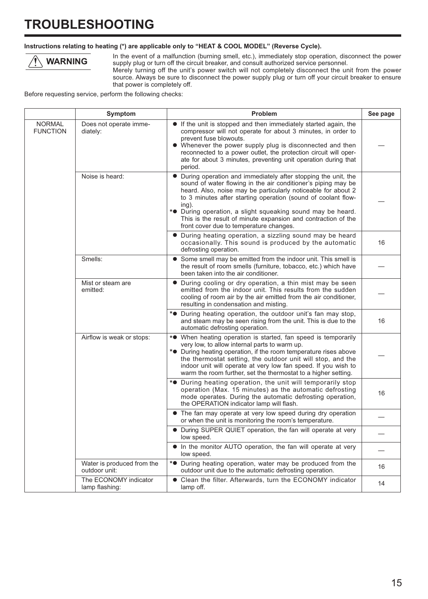# **TROUBLESHOOTING**

### **Instructions relating to heating (\*) are applicable only to "HEAT & COOL MODEL" (Reverse Cycle).**



In the event of a malfunction (burning smell, etc.), immediately stop operation, disconnect the power supply plug or turn off the circuit breaker, and consult authorized service personnel.

Merely turning off the unit's power switch will not completely disconnect the unit from the power source. Always be sure to disconnect the power supply plug or turn off your circuit breaker to ensure that power is completely off.

Before requesting service, perform the following checks:

|                                  | Symptom                                     | Problem                                                                                                                                                                                                                                                                                                                                                                                                                                                             | See page |
|----------------------------------|---------------------------------------------|---------------------------------------------------------------------------------------------------------------------------------------------------------------------------------------------------------------------------------------------------------------------------------------------------------------------------------------------------------------------------------------------------------------------------------------------------------------------|----------|
| <b>NORMAL</b><br><b>FUNCTION</b> | Does not operate imme-<br>diately:          | • If the unit is stopped and then immediately started again, the<br>compressor will not operate for about 3 minutes, in order to<br>prevent fuse blowouts.<br>• Whenever the power supply plug is disconnected and then<br>reconnected to a power outlet, the protection circuit will oper-<br>ate for about 3 minutes, preventing unit operation during that<br>period.                                                                                            |          |
|                                  | Noise is heard:                             | During operation and immediately after stopping the unit, the<br>sound of water flowing in the air conditioner's piping may be<br>heard. Also, noise may be particularly noticeable for about 2<br>to 3 minutes after starting operation (sound of coolant flow-<br>$ing)$ .<br>* <sup>•</sup> During operation, a slight squeaking sound may be heard.<br>This is the result of minute expansion and contraction of the<br>front cover due to temperature changes. |          |
|                                  |                                             | • During heating operation, a sizzling sound may be heard<br>occasionally. This sound is produced by the automatic<br>defrosting operation.                                                                                                                                                                                                                                                                                                                         | 16       |
|                                  | Smells:                                     | • Some smell may be emitted from the indoor unit. This smell is<br>the result of room smells (furniture, tobacco, etc.) which have<br>been taken into the air conditioner.                                                                                                                                                                                                                                                                                          |          |
|                                  | Mist or steam are<br>emitted:               | • During cooling or dry operation, a thin mist may be seen<br>emitted from the indoor unit. This results from the sudden<br>cooling of room air by the air emitted from the air conditioner,<br>resulting in condensation and misting.                                                                                                                                                                                                                              |          |
|                                  |                                             | * <sup>•</sup> During heating operation, the outdoor unit's fan may stop,<br>and steam may be seen rising from the unit. This is due to the<br>automatic defrosting operation.                                                                                                                                                                                                                                                                                      | 16       |
|                                  | Airflow is weak or stops:                   | * <sup>•</sup> When heating operation is started, fan speed is temporarily<br>very low, to allow internal parts to warm up.<br>* <sup>•</sup> During heating operation, if the room temperature rises above<br>the thermostat setting, the outdoor unit will stop, and the<br>indoor unit will operate at very low fan speed. If you wish to<br>warm the room further, set the thermostat to a higher setting.                                                      |          |
|                                  |                                             | * <sup>•</sup> During heating operation, the unit will temporarily stop<br>operation (Max. 15 minutes) as the automatic defrosting<br>mode operates. During the automatic defrosting operation,<br>the OPERATION indicator lamp will flash.                                                                                                                                                                                                                         | 16       |
|                                  |                                             | • The fan may operate at very low speed during dry operation<br>or when the unit is monitoring the room's temperature.                                                                                                                                                                                                                                                                                                                                              |          |
|                                  |                                             | • During SUPER QUIET operation, the fan will operate at very<br>low speed.                                                                                                                                                                                                                                                                                                                                                                                          |          |
|                                  |                                             | • In the monitor AUTO operation, the fan will operate at very<br>low speed.                                                                                                                                                                                                                                                                                                                                                                                         |          |
|                                  | Water is produced from the<br>outdoor unit: | * <sup>•</sup> During heating operation, water may be produced from the<br>outdoor unit due to the automatic defrosting operation.                                                                                                                                                                                                                                                                                                                                  | 16       |
|                                  | The ECONOMY indicator<br>lamp flashing:     | Clean the filter. Afterwards, turn the ECONOMY indicator<br>lamp off.                                                                                                                                                                                                                                                                                                                                                                                               | 14       |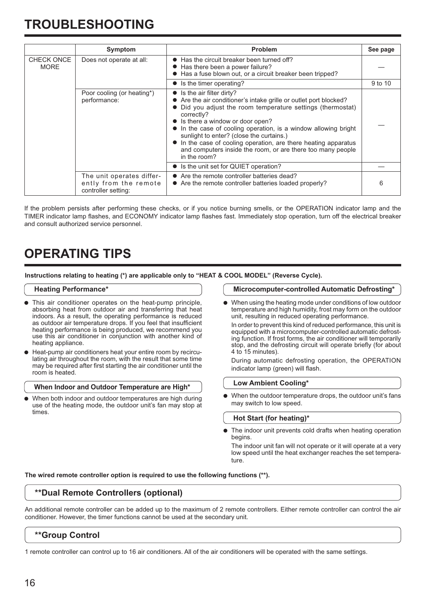# **TROUBLESHOOTING**

|                                  | Symptom                                                                   | <b>Problem</b>                                                                                                                                                                                                                                                                                                                                                                                                                                                                           | See page |
|----------------------------------|---------------------------------------------------------------------------|------------------------------------------------------------------------------------------------------------------------------------------------------------------------------------------------------------------------------------------------------------------------------------------------------------------------------------------------------------------------------------------------------------------------------------------------------------------------------------------|----------|
| <b>CHECK ONCE</b><br><b>MORE</b> | Does not operate at all:                                                  | ● Has the circuit breaker been turned off?<br>● Has there been a power failure?<br>• Has a fuse blown out, or a circuit breaker been tripped?                                                                                                                                                                                                                                                                                                                                            |          |
|                                  |                                                                           | • Is the timer operating?                                                                                                                                                                                                                                                                                                                                                                                                                                                                | 9 to 10  |
|                                  | Poor cooling (or heating*)<br>performance:                                | $\bullet$ Is the air filter dirty?<br>• Are the air conditioner's intake grille or outlet port blocked?<br>• Did you adjust the room temperature settings (thermostat)<br>correctly?<br>• Is there a window or door open?<br>In the case of cooling operation, is a window allowing bright<br>sunlight to enter? (close the curtains.)<br>• In the case of cooling operation, are there heating apparatus<br>and computers inside the room, or are there too many people<br>in the room? |          |
|                                  |                                                                           | • Is the unit set for QUIET operation?                                                                                                                                                                                                                                                                                                                                                                                                                                                   |          |
|                                  | The unit operates differ-<br>ently from the remote<br>controller setting: | • Are the remote controller batteries dead?<br>• Are the remote controller batteries loaded properly?                                                                                                                                                                                                                                                                                                                                                                                    | 6        |

If the problem persists after performing these checks, or if you notice burning smells, or the OPERATION indicator lamp and the TIMER indicator lamp flashes, and ECONOMY indicator lamp flashes fast. Immediately stop operation, turn off the electrical breaker and consult authorized service personnel.

# **OPERATING TIPS**

**Instructions relating to heating (\*) are applicable only to "HEAT & COOL MODEL" (Reverse Cycle).**

#### **Heating Performance\***

- $\bullet$  This air conditioner operates on the heat-pump principle, absorbing heat from outdoor air and transferring that heat indoors. As a result, the operating performance is reduced as outdoor air temperature drops. If you feel that insufficient heating performance is being produced, we recommend you use this air conditioner in conjunction with another kind of heating appliance.
- Heat-pump air conditioners heat your entire room by recirculating air throughout the room, with the result that some time may be required after first starting the air conditioner until the room is heated.

#### **When Indoor and Outdoor Temperature are High\***

When both indoor and outdoor temperatures are high during use of the heating mode, the outdoor unit's fan may stop at times.

#### **Microcomputer-controlled Automatic Defrosting\***

 $\bullet$  When using the heating mode under conditions of low outdoor temperature and high humidity, frost may form on the outdoor unit, resulting in reduced operating performance.

 In order to prevent this kind of reduced performance, this unit is equipped with a microcomputer-controlled automatic defrosting function. If frost forms, the air conditioner will temporarily stop, and the defrosting circuit will operate briefly (for about 4 to 15 minutes).

 During automatic defrosting operation, the OPERATION indicator lamp (green) will flash.

#### **Low Ambient Cooling\***

When the outdoor temperature drops, the outdoor unit's fans may switch to low speed.

#### **Hot Start (for heating)\***

The indoor unit prevents cold drafts when heating operation begins.

 The indoor unit fan will not operate or it will operate at a very low speed until the heat exchanger reaches the set temperature.

**The wired remote controller option is required to use the following functions (\*\*).**

### **\*\*Dual Remote Controllers (optional)**

An additional remote controller can be added up to the maximum of 2 remote controllers. Either remote controller can control the air conditioner. However, the timer functions cannot be used at the secondary unit.

## **\*\*Group Control**

1 remote controller can control up to 16 air conditioners. All of the air conditioners will be operated with the same settings.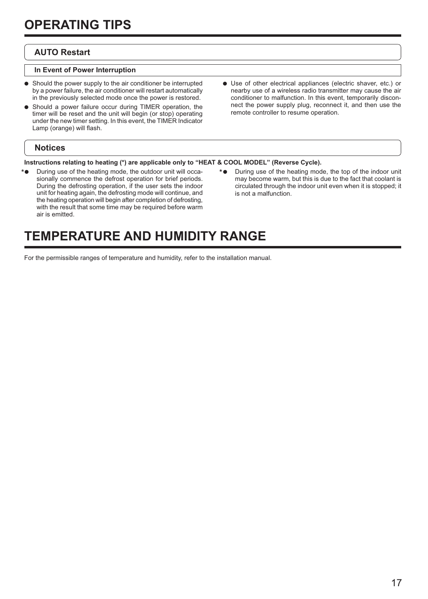# **AUTO Restart**

### **In Event of Power Interruption**

- $\bullet$  Should the power supply to the air conditioner be interrupted by a power failure, the air conditioner will restart automatically in the previously selected mode once the power is restored.
- Should a power failure occur during TIMER operation, the timer will be reset and the unit will begin (or stop) operating under the new timer setting. In this event, the TIMER Indicator Lamp (orange) will flash.
	- **Notices**
- $\bullet$  Use of other electrical appliances (electric shaver, etc.) or nearby use of a wireless radio transmitter may cause the air conditioner to malfunction. In this event, temporarily disconnect the power supply plug, reconnect it, and then use the remote controller to resume operation.
- **Instructions relating to heating (\*) are applicable only to "HEAT & COOL MODEL" (Reverse Cycle).**
- \*  $\bullet$  During use of the heating mode, the outdoor unit will occa-<br>\* sionally commence the defrost operation for brief periods. During the defrosting operation, if the user sets the indoor unit for heating again, the defrosting mode will continue, and the heating operation will begin after completion of defrosting, with the result that some time may be required before warm air is emitted.
- \* During use of the heating mode, the top of the indoor unit may become warm, but this is due to the fact that coolant is circulated through the indoor unit even when it is stopped; it is not a malfunction.

# **TEMPERATURE AND HUMIDITY RANGE**

For the permissible ranges of temperature and humidity, refer to the installation manual.